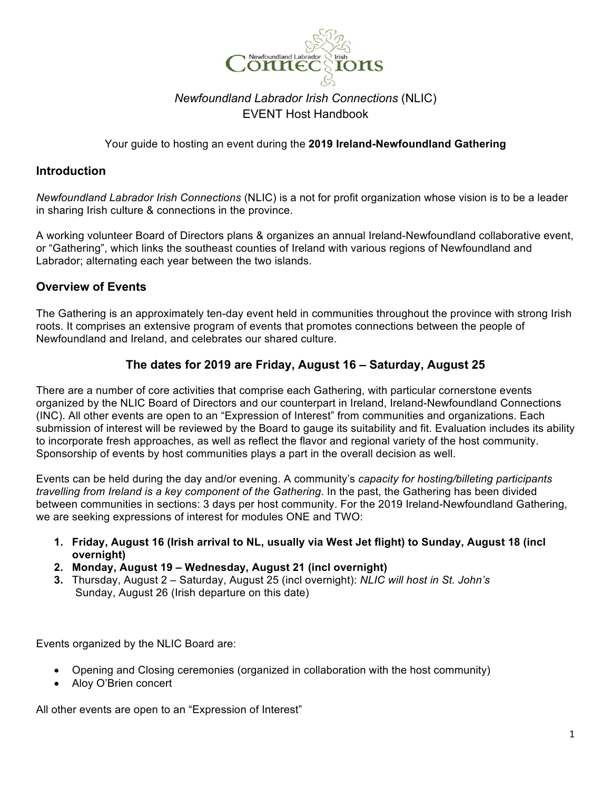

# *Newfoundland Labrador Irish Connections* (NLIC) EVENT Host Handbook

Your guide to hosting an event during the **2019 Ireland-Newfoundland Gathering**

### **Introduction**

*Newfoundland Labrador Irish Connections* (NLIC) is a not for profit organization whose vision is to be a leader in sharing Irish culture & connections in the province.

A working volunteer Board of Directors plans & organizes an annual Ireland-Newfoundland collaborative event, or "Gathering", which links the southeast counties of Ireland with various regions of Newfoundland and Labrador; alternating each year between the two islands.

### **Overview of Events**

The Gathering is an approximately ten-day event held in communities throughout the province with strong Irish roots. It comprises an extensive program of events that promotes connections between the people of Newfoundland and Ireland, and celebrates our shared culture.

# **The dates for 2019 are Friday, August 16 – Saturday, August 25**

There are a number of core activities that comprise each Gathering, with particular cornerstone events organized by the NLIC Board of Directors and our counterpart in Ireland, Ireland-Newfoundland Connections (INC). All other events are open to an "Expression of Interest" from communities and organizations. Each submission of interest will be reviewed by the Board to gauge its suitability and fit. Evaluation includes its ability to incorporate fresh approaches, as well as reflect the flavor and regional variety of the host community. Sponsorship of events by host communities plays a part in the overall decision as well.

Events can be held during the day and/or evening. A community's *capacity for hosting/billeting participants travelling from Ireland is a key component of the Gathering*. In the past, the Gathering has been divided between communities in sections: 3 days per host community. For the 2019 Ireland-Newfoundland Gathering, we are seeking expressions of interest for modules ONE and TWO:

- **1. Friday, August 16 (Irish arrival to NL, usually via West Jet flight) to Sunday, August 18 (incl overnight)**
- **2. Monday, August 19 – Wednesday, August 21 (incl overnight)**
- **3.** Thursday, August 2 Saturday, August 25 (incl overnight): *NLIC will host in St. John's* Sunday, August 26 (Irish departure on this date)

Events organized by the NLIC Board are:

- Opening and Closing ceremonies (organized in collaboration with the host community)
- Aloy O'Brien concert

All other events are open to an "Expression of Interest"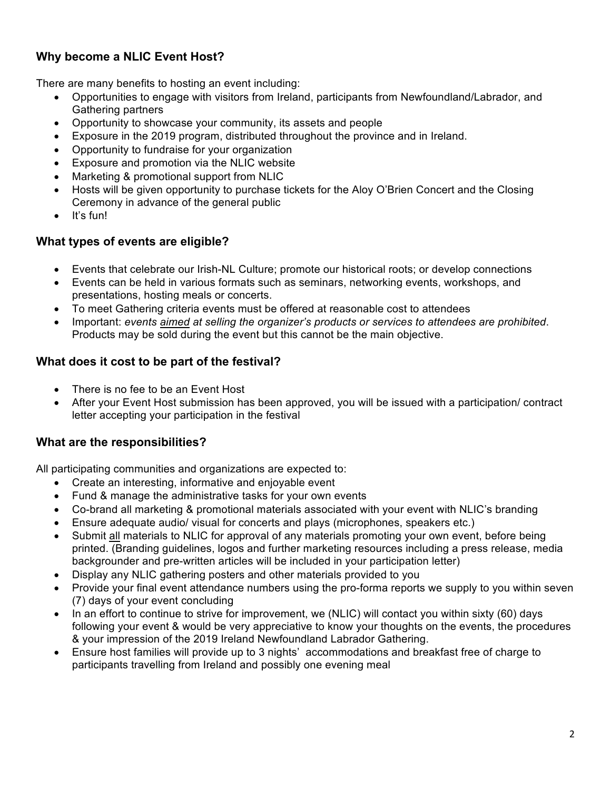# **Why become a NLIC Event Host?**

There are many benefits to hosting an event including:

- Opportunities to engage with visitors from Ireland, participants from Newfoundland/Labrador, and Gathering partners
- Opportunity to showcase your community, its assets and people
- Exposure in the 2019 program, distributed throughout the province and in Ireland.
- Opportunity to fundraise for your organization
- Exposure and promotion via the NLIC website
- Marketing & promotional support from NLIC
- Hosts will be given opportunity to purchase tickets for the Aloy O'Brien Concert and the Closing Ceremony in advance of the general public
- It's fun!

## **What types of events are eligible?**

- Events that celebrate our Irish-NL Culture; promote our historical roots; or develop connections
- Events can be held in various formats such as seminars, networking events, workshops, and presentations, hosting meals or concerts.
- To meet Gathering criteria events must be offered at reasonable cost to attendees
- Important: *events aimed at selling the organizer's products or services to attendees are prohibited*. Products may be sold during the event but this cannot be the main objective.

## **What does it cost to be part of the festival?**

- There is no fee to be an Event Host
- After your Event Host submission has been approved, you will be issued with a participation/ contract letter accepting your participation in the festival

### **What are the responsibilities?**

All participating communities and organizations are expected to:

- Create an interesting, informative and enjoyable event
- Fund & manage the administrative tasks for your own events
- Co-brand all marketing & promotional materials associated with your event with NLIC's branding
- Ensure adequate audio/ visual for concerts and plays (microphones, speakers etc.)
- Submit all materials to NLIC for approval of any materials promoting your own event, before being printed. (Branding guidelines, logos and further marketing resources including a press release, media backgrounder and pre-written articles will be included in your participation letter)
- Display any NLIC gathering posters and other materials provided to you
- Provide your final event attendance numbers using the pro-forma reports we supply to you within seven (7) days of your event concluding
- In an effort to continue to strive for improvement, we (NLIC) will contact you within sixty (60) days following your event & would be very appreciative to know your thoughts on the events, the procedures & your impression of the 2019 Ireland Newfoundland Labrador Gathering.
- Ensure host families will provide up to 3 nights' accommodations and breakfast free of charge to participants travelling from Ireland and possibly one evening meal